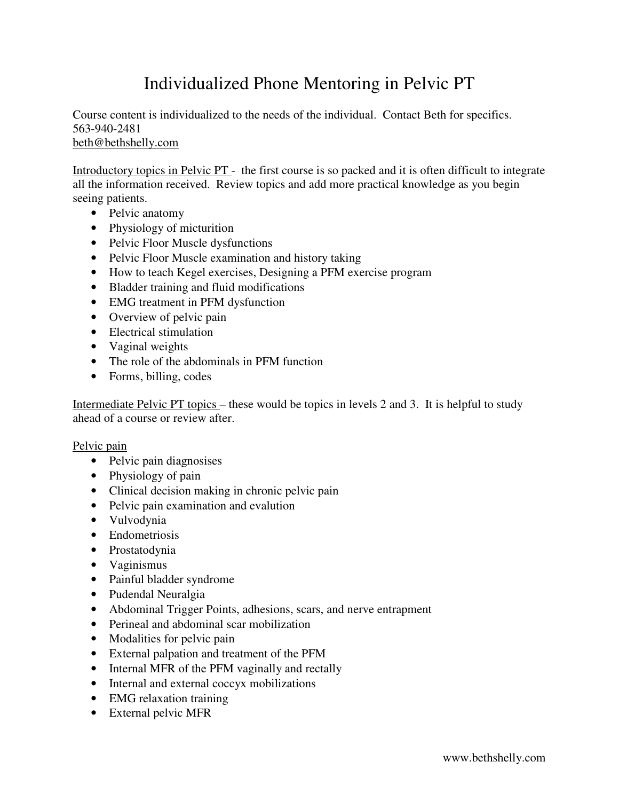## Individualized Phone Mentoring in Pelvic PT

Course content is individualized to the needs of the individual. Contact Beth for specifics. 563-940-2481 beth@bethshelly.com

Introductory topics in Pelvic PT - the first course is so packed and it is often difficult to integrate all the information received. Review topics and add more practical knowledge as you begin seeing patients.

- Pelvic anatomy
- Physiology of micturition
- Pelvic Floor Muscle dysfunctions
- Pelvic Floor Muscle examination and history taking
- How to teach Kegel exercises, Designing a PFM exercise program
- Bladder training and fluid modifications
- EMG treatment in PFM dysfunction
- Overview of pelvic pain
- Electrical stimulation
- Vaginal weights
- The role of the abdominals in PFM function
- Forms, billing, codes

Intermediate Pelvic PT topics – these would be topics in levels 2 and 3. It is helpful to study ahead of a course or review after.

## Pelvic pain

- Pelvic pain diagnosises
- Physiology of pain
- Clinical decision making in chronic pelvic pain
- Pelvic pain examination and evalution
- Vulvodynia
- Endometriosis
- Prostatodynia
- Vaginismus
- Painful bladder syndrome
- Pudendal Neuralgia
- Abdominal Trigger Points, adhesions, scars, and nerve entrapment
- Perineal and abdominal scar mobilization
- Modalities for pelvic pain
- External palpation and treatment of the PFM
- Internal MFR of the PFM vaginally and rectally
- Internal and external coccyx mobilizations
- EMG relaxation training
- External pelvic MFR